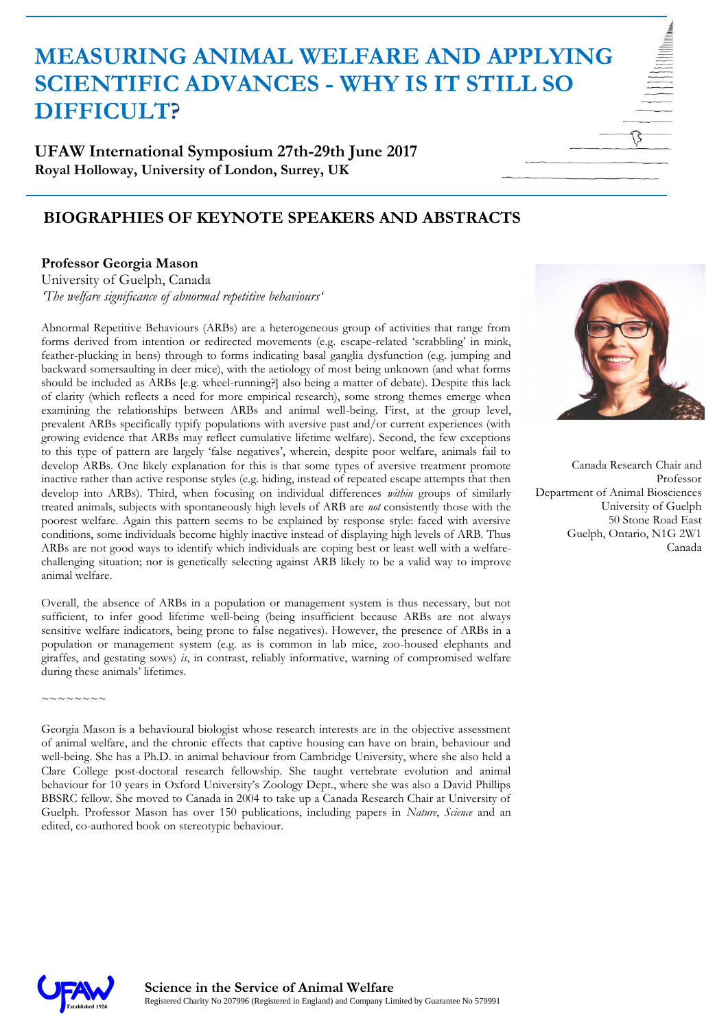**UFAW International Symposium 27th-29th June 2017 Royal Holloway, University of London, Surrey, UK**

### **BIOGRAPHIES OF KEYNOTE SPEAKERS AND ABSTRACTS**

#### **Professor Georgia Mason**

University of Guelph, Canada *'The welfare significance of abnormal repetitive behaviours'*

Abnormal Repetitive Behaviours (ARBs) are a heterogeneous group of activities that range from forms derived from intention or redirected movements (e.g. escape-related 'scrabbling' in mink, feather-plucking in hens) through to forms indicating basal ganglia dysfunction (e.g. jumping and backward somersaulting in deer mice), with the aetiology of most being unknown (and what forms should be included as ARBs [e.g. wheel-running?] also being a matter of debate). Despite this lack of clarity (which reflects a need for more empirical research), some strong themes emerge when examining the relationships between ARBs and animal well-being. First, at the group level, prevalent ARBs specifically typify populations with aversive past and/or current experiences (with growing evidence that ARBs may reflect cumulative lifetime welfare). Second, the few exceptions to this type of pattern are largely 'false negatives', wherein, despite poor welfare, animals fail to develop ARBs. One likely explanation for this is that some types of aversive treatment promote inactive rather than active response styles (e.g. hiding, instead of repeated escape attempts that then develop into ARBs). Third, when focusing on individual differences *within* groups of similarly treated animals, subjects with spontaneously high levels of ARB are *not* consistently those with the poorest welfare. Again this pattern seems to be explained by response style: faced with aversive conditions, some individuals become highly inactive instead of displaying high levels of ARB. Thus ARBs are not good ways to identify which individuals are coping best or least well with a welfarechallenging situation; nor is genetically selecting against ARB likely to be a valid way to improve animal welfare.

Overall, the absence of ARBs in a population or management system is thus necessary, but not sufficient, to infer good lifetime well-being (being insufficient because ARBs are not always sensitive welfare indicators, being prone to false negatives). However, the presence of ARBs in a population or management system (e.g. as is common in lab mice, zoo-housed elephants and giraffes, and gestating sows)  $i<sub>s</sub>$ , in contrast, reliably informative, warning of compromised welfare during these animals' lifetimes.

Georgia Mason is a behavioural biologist whose research interests are in the objective assessment of animal welfare, and the chronic effects that captive housing can have on brain, behaviour and well-being. She has a Ph.D. in animal behaviour from Cambridge University, where she also held a Clare College post-doctoral research fellowship. She taught vertebrate evolution and animal behaviour for 10 years in Oxford University's Zoology Dept., where she was also a David Phillips BBSRC fellow. She moved to Canada in 2004 to take up a Canada Research Chair at University of Guelph. Professor Mason has over 150 publications, including papers in *Nature*, *Science* and an edited, co-authored book on stereotypic behaviour.



Canada Research Chair and Professor Department of Animal Biosciences University of Guelph 50 Stone Road East Guelph, Ontario, N1G 2W1 Canada



 $\sim\sim\sim\sim\sim\sim$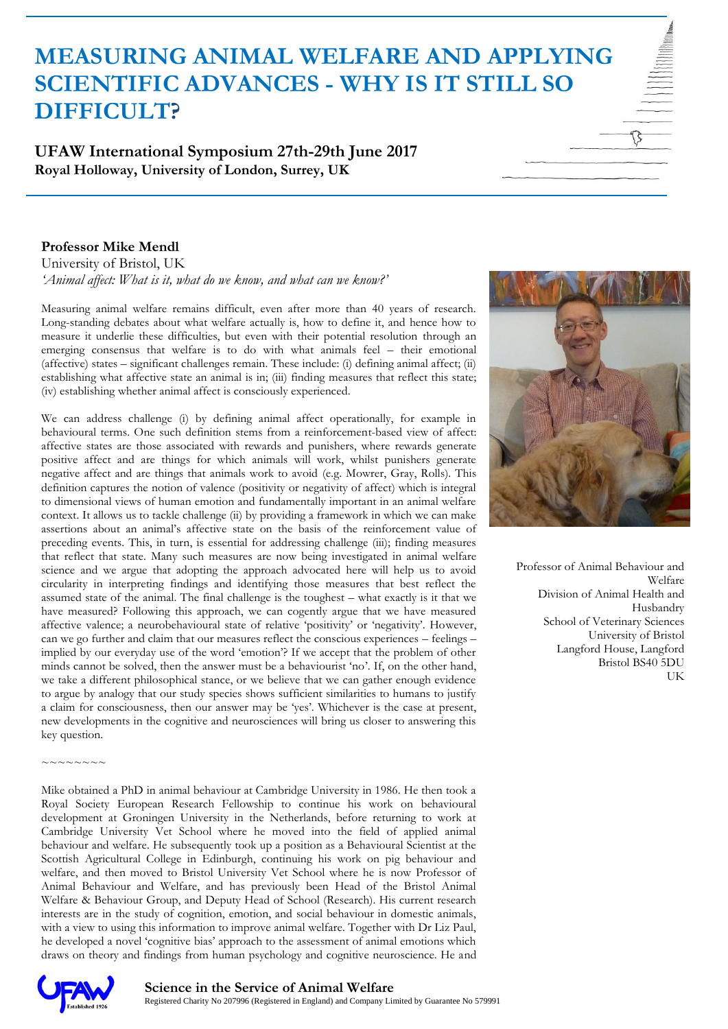**UFAW International Symposium 27th-29th June 2017 Royal Holloway, University of London, Surrey, UK**

#### **Professor Mike Mendl**

University of Bristol, UK *'Animal affect: What is it, what do we know, and what can we know?'*

Measuring animal welfare remains difficult, even after more than 40 years of research. Long-standing debates about what welfare actually is, how to define it, and hence how to measure it underlie these difficulties, but even with their potential resolution through an emerging consensus that welfare is to do with what animals feel – their emotional (affective) states – significant challenges remain. These include: (i) defining animal affect; (ii) establishing what affective state an animal is in; (iii) finding measures that reflect this state; (iv) establishing whether animal affect is consciously experienced.

We can address challenge (i) by defining animal affect operationally, for example in behavioural terms. One such definition stems from a reinforcement-based view of affect: affective states are those associated with rewards and punishers, where rewards generate positive affect and are things for which animals will work, whilst punishers generate negative affect and are things that animals work to avoid (e.g. Mowrer, Gray, Rolls). This definition captures the notion of valence (positivity or negativity of affect) which is integral to dimensional views of human emotion and fundamentally important in an animal welfare context. It allows us to tackle challenge (ii) by providing a framework in which we can make assertions about an animal's affective state on the basis of the reinforcement value of preceding events. This, in turn, is essential for addressing challenge (iii); finding measures that reflect that state. Many such measures are now being investigated in animal welfare science and we argue that adopting the approach advocated here will help us to avoid circularity in interpreting findings and identifying those measures that best reflect the assumed state of the animal. The final challenge is the toughest – what exactly is it that we have measured? Following this approach, we can cogently argue that we have measured affective valence; a neurobehavioural state of relative 'positivity' or 'negativity'. However, can we go further and claim that our measures reflect the conscious experiences – feelings – implied by our everyday use of the word 'emotion'? If we accept that the problem of other minds cannot be solved, then the answer must be a behaviourist 'no'. If, on the other hand, we take a different philosophical stance, or we believe that we can gather enough evidence to argue by analogy that our study species shows sufficient similarities to humans to justify a claim for consciousness, then our answer may be 'yes'. Whichever is the case at present, new developments in the cognitive and neurosciences will bring us closer to answering this key question.

Mike obtained a PhD in animal behaviour at Cambridge University in 1986. He then took a Royal Society European Research Fellowship to continue his work on behavioural development at Groningen University in the Netherlands, before returning to work at Cambridge University Vet School where he moved into the field of applied animal behaviour and welfare. He subsequently took up a position as a Behavioural Scientist at the Scottish Agricultural College in Edinburgh, continuing his work on pig behaviour and welfare, and then moved to Bristol University Vet School where he is now Professor of Animal Behaviour and Welfare, and has previously been Head of the Bristol Animal Welfare & Behaviour Group, and Deputy Head of School (Research). His current research interests are in the study of cognition, emotion, and social behaviour in domestic animals, with a view to using this information to improve animal welfare. Together with Dr Liz Paul, he developed a novel 'cognitive bias' approach to the assessment of animal emotions which draws on theory and findings from human psychology and cognitive neuroscience. He and



Professor of Animal Behaviour and Welfare Division of Animal Health and Husbandry School of Veterinary Sciences University of Bristol Langford House, Langford Bristol BS40 5DU UK



 $\sim$   $\sim$   $\sim$   $\sim$   $\sim$   $\sim$   $\sim$   $\sim$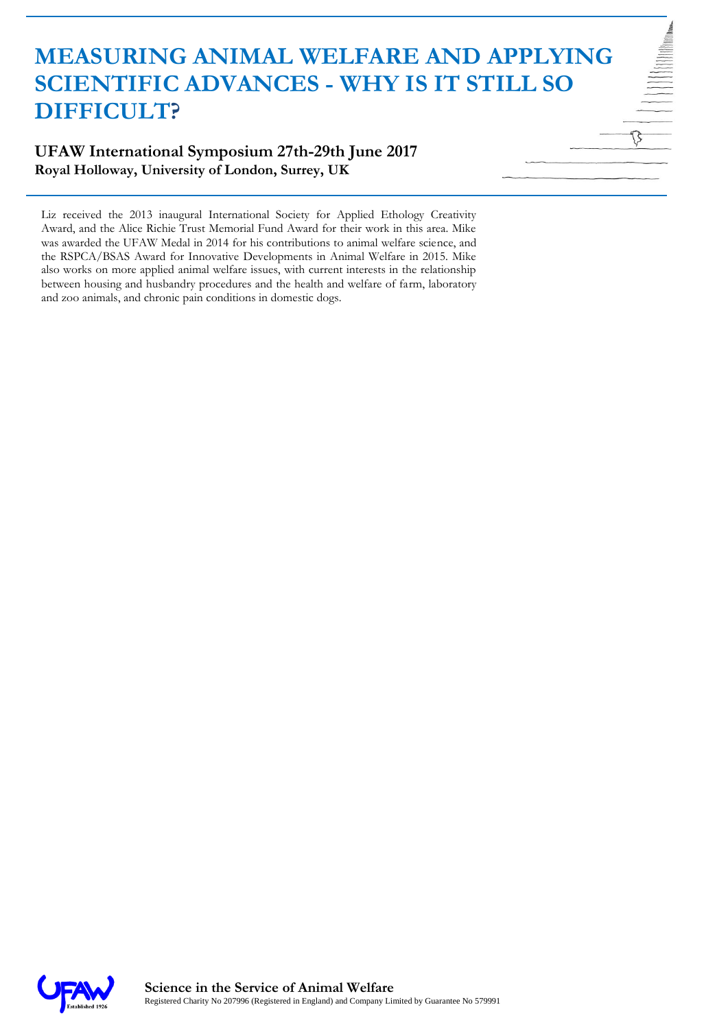### **UFAW International Symposium 27th-29th June 2017 Royal Holloway, University of London, Surrey, UK**

Liz received the 2013 inaugural International Society for Applied Ethology Creativity Award, and the Alice Richie Trust Memorial Fund Award for their work in this area. Mike was awarded the UFAW Medal in 2014 for his contributions to animal welfare science, and the RSPCA/BSAS Award for Innovative Developments in Animal Welfare in 2015. Mike also works on more applied animal welfare issues, with current interests in the relationship between housing and husbandry procedures and the health and welfare of farm, laboratory and zoo animals, and chronic pain conditions in domestic dogs.